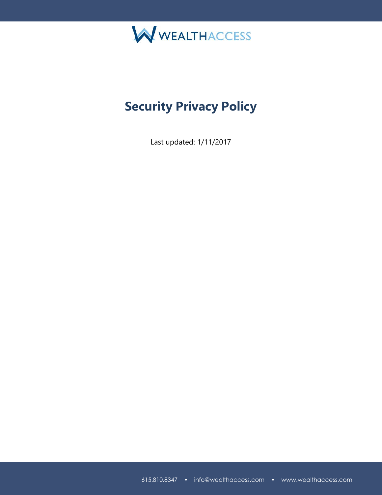

## **Security Privacy Policy**

Last updated: 1/11/2017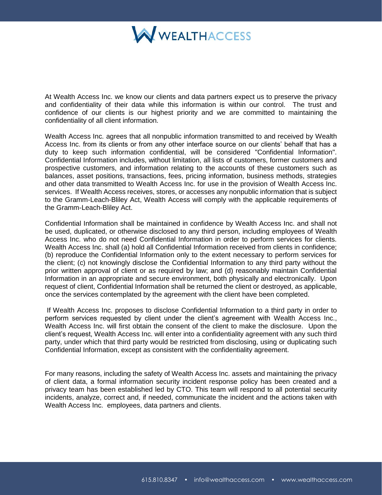

At Wealth Access Inc. we know our clients and data partners expect us to preserve the privacy and confidentiality of their data while this information is within our control. The trust and confidence of our clients is our highest priority and we are committed to maintaining the confidentiality of all client information.

Wealth Access Inc. agrees that all nonpublic information transmitted to and received by Wealth Access Inc. from its clients or from any other interface source on our clients' behalf that has a duty to keep such information confidential, will be considered "Confidential Information". Confidential Information includes, without limitation, all lists of customers, former customers and prospective customers, and information relating to the accounts of these customers such as balances, asset positions, transactions, fees, pricing information, business methods, strategies and other data transmitted to Wealth Access Inc. for use in the provision of Wealth Access Inc. services. If Wealth Access receives, stores, or accesses any nonpublic information that is subject to the Gramm-Leach-Bliley Act, Wealth Access will comply with the applicable requirements of the Gramm-Leach-Bliley Act.

Confidential Information shall be maintained in confidence by Wealth Access Inc. and shall not be used, duplicated, or otherwise disclosed to any third person, including employees of Wealth Access Inc. who do not need Confidential Information in order to perform services for clients. Wealth Access Inc. shall (a) hold all Confidential Information received from clients in confidence; (b) reproduce the Confidential Information only to the extent necessary to perform services for the client; (c) not knowingly disclose the Confidential Information to any third party without the prior written approval of client or as required by law; and (d) reasonably maintain Confidential Information in an appropriate and secure environment, both physically and electronically. Upon request of client, Confidential Information shall be returned the client or destroyed, as applicable, once the services contemplated by the agreement with the client have been completed.

If Wealth Access Inc. proposes to disclose Confidential Information to a third party in order to perform services requested by client under the client's agreement with Wealth Access Inc., Wealth Access Inc. will first obtain the consent of the client to make the disclosure. Upon the client's request, Wealth Access Inc. will enter into a confidentiality agreement with any such third party, under which that third party would be restricted from disclosing, using or duplicating such Confidential Information, except as consistent with the confidentiality agreement.

For many reasons, including the safety of Wealth Access Inc. assets and maintaining the privacy of client data, a formal information security incident response policy has been created and a privacy team has been established led by CTO. This team will respond to all potential security incidents, analyze, correct and, if needed, communicate the incident and the actions taken with Wealth Access Inc. employees, data partners and clients.